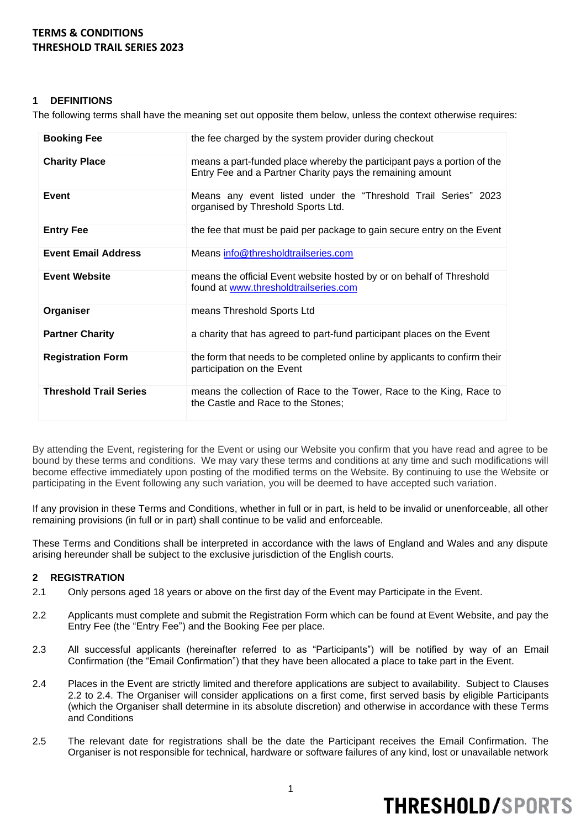### **1 DEFINITIONS**

The following terms shall have the meaning set out opposite them below, unless the context otherwise requires:

| <b>Booking Fee</b>            | the fee charged by the system provider during checkout                                                                               |
|-------------------------------|--------------------------------------------------------------------------------------------------------------------------------------|
| <b>Charity Place</b>          | means a part-funded place whereby the participant pays a portion of the<br>Entry Fee and a Partner Charity pays the remaining amount |
| Event                         | Means any event listed under the "Threshold Trail Series" 2023<br>organised by Threshold Sports Ltd.                                 |
| <b>Entry Fee</b>              | the fee that must be paid per package to gain secure entry on the Event                                                              |
| <b>Event Email Address</b>    | Means info@thresholdtrailseries.com                                                                                                  |
| <b>Event Website</b>          | means the official Event website hosted by or on behalf of Threshold<br>found at www.thresholdtrailseries.com                        |
| Organiser                     | means Threshold Sports Ltd                                                                                                           |
| <b>Partner Charity</b>        | a charity that has agreed to part-fund participant places on the Event                                                               |
| <b>Registration Form</b>      | the form that needs to be completed online by applicants to confirm their<br>participation on the Event                              |
| <b>Threshold Trail Series</b> | means the collection of Race to the Tower, Race to the King, Race to<br>the Castle and Race to the Stones;                           |

By attending the Event, registering for the Event or using our Website you confirm that you have read and agree to be bound by these terms and conditions. We may vary these terms and conditions at any time and such modifications will become effective immediately upon posting of the modified terms on the Website. By continuing to use the Website or participating in the Event following any such variation, you will be deemed to have accepted such variation.

If any provision in these Terms and Conditions, whether in full or in part, is held to be invalid or unenforceable, all other remaining provisions (in full or in part) shall continue to be valid and enforceable.

These Terms and Conditions shall be interpreted in accordance with the laws of England and Wales and any dispute arising hereunder shall be subject to the exclusive jurisdiction of the English courts.

### **2 REGISTRATION**

- 2.1 Only persons aged 18 years or above on the first day of the Event may Participate in the Event.
- 2.2 Applicants must complete and submit the Registration Form which can be found at Event Website, and pay the Entry Fee (the "Entry Fee") and the Booking Fee per place.
- 2.3 All successful applicants (hereinafter referred to as "Participants") will be notified by way of an Email Confirmation (the "Email Confirmation") that they have been allocated a place to take part in the Event.
- 2.4 Places in the Event are strictly limited and therefore applications are subject to availability. Subject to Clauses 2.2 to 2.4. The Organiser will consider applications on a first come, first served basis by eligible Participants (which the Organiser shall determine in its absolute discretion) and otherwise in accordance with these Terms and Conditions
- 2.5 The relevant date for registrations shall be the date the Participant receives the Email Confirmation. The Organiser is not responsible for technical, hardware or software failures of any kind, lost or unavailable network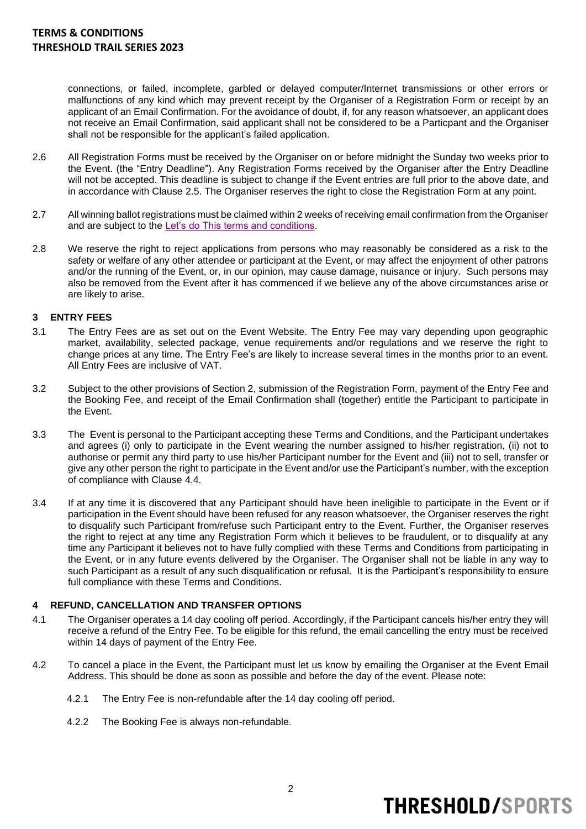connections, or failed, incomplete, garbled or delayed computer/Internet transmissions or other errors or malfunctions of any kind which may prevent receipt by the Organiser of a Registration Form or receipt by an applicant of an Email Confirmation. For the avoidance of doubt, if, for any reason whatsoever, an applicant does not receive an Email Confirmation, said applicant shall not be considered to be a Particpant and the Organiser shall not be responsible for the applicant's failed application.

- 2.6 All Registration Forms must be received by the Organiser on or before midnight the Sunday two weeks prior to the Event. (the "Entry Deadline"). Any Registration Forms received by the Organiser after the Entry Deadline will not be accepted. This deadline is subject to change if the Event entries are full prior to the above date, and in accordance with Clause 2.5. The Organiser reserves the right to close the Registration Form at any point.
- 2.7 All winning ballot registrations must be claimed within 2 weeks of receiving email confirmation from the Organiser and are subject to the [Let's do This terms and conditions.](http://www.letsdothis.com/terms)
- 2.8 We reserve the right to reject applications from persons who may reasonably be considered as a risk to the safety or welfare of any other attendee or participant at the Event, or may affect the enjoyment of other patrons and/or the running of the Event, or, in our opinion, may cause damage, nuisance or injury. Such persons may also be removed from the Event after it has commenced if we believe any of the above circumstances arise or are likely to arise.

### **3 ENTRY FEES**

- 3.1 The Entry Fees are as set out on the Event Website. The Entry Fee may vary depending upon geographic market, availability, selected package, venue requirements and/or regulations and we reserve the right to change prices at any time. The Entry Fee's are likely to increase several times in the months prior to an event. All Entry Fees are inclusive of VAT.
- 3.2 Subject to the other provisions of Section 2, submission of the Registration Form, payment of the Entry Fee and the Booking Fee, and receipt of the Email Confirmation shall (together) entitle the Participant to participate in the Event.
- 3.3 The Event is personal to the Participant accepting these Terms and Conditions, and the Participant undertakes and agrees (i) only to participate in the Event wearing the number assigned to his/her registration, (ii) not to authorise or permit any third party to use his/her Participant number for the Event and (iii) not to sell, transfer or give any other person the right to participate in the Event and/or use the Participant's number, with the exception of compliance with Clause 4.4.
- 3.4 If at any time it is discovered that any Participant should have been ineligible to participate in the Event or if participation in the Event should have been refused for any reason whatsoever, the Organiser reserves the right to disqualify such Participant from/refuse such Participant entry to the Event. Further, the Organiser reserves the right to reject at any time any Registration Form which it believes to be fraudulent, or to disqualify at any time any Participant it believes not to have fully complied with these Terms and Conditions from participating in the Event, or in any future events delivered by the Organiser. The Organiser shall not be liable in any way to such Participant as a result of any such disqualification or refusal. It is the Participant's responsibility to ensure full compliance with these Terms and Conditions.

### **4 REFUND, CANCELLATION AND TRANSFER OPTIONS**

- 4.1 The Organiser operates a 14 day cooling off period. Accordingly, if the Participant cancels his/her entry they will receive a refund of the Entry Fee. To be eligible for this refund, the email cancelling the entry must be received within 14 days of payment of the Entry Fee.
- 4.2 To cancel a place in the Event, the Participant must let us know by emailing the Organiser at the Event Email Address. This should be done as soon as possible and before the day of the event. Please note:
	- 4.2.1 The Entry Fee is non-refundable after the 14 day cooling off period.
	- 4.2.2 The Booking Fee is always non-refundable.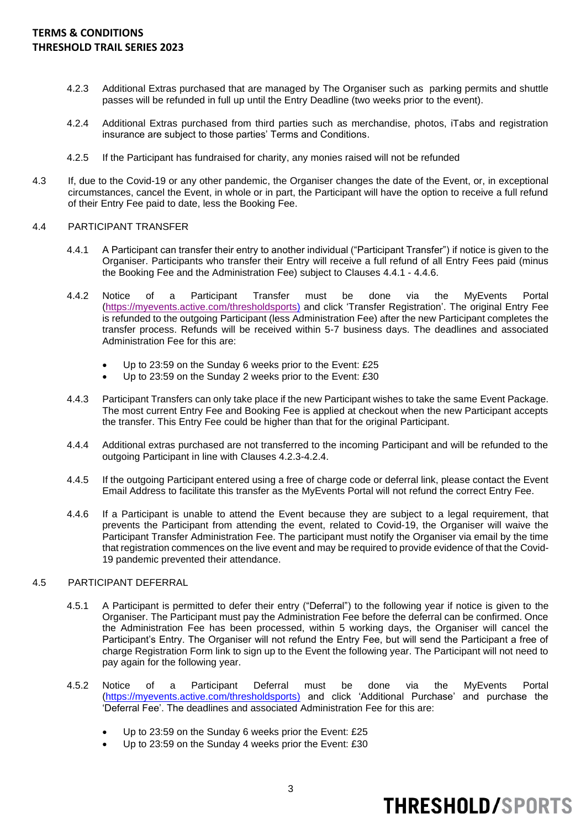- 4.2.3 Additional Extras purchased that are managed by The Organiser such as parking permits and shuttle passes will be refunded in full up until the Entry Deadline (two weeks prior to the event).
- 4.2.4 Additional Extras purchased from third parties such as merchandise, photos, iTabs and registration insurance are subject to those parties' Terms and Conditions.
- 4.2.5 If the Participant has fundraised for charity, any monies raised will not be refunded
- 4.3 If, due to the Covid-19 or any other pandemic, the Organiser changes the date of the Event, or, in exceptional circumstances, cancel the Event, in whole or in part, the Participant will have the option to receive a full refund of their Entry Fee paid to date, less the Booking Fee.

#### 4.4 PARTICIPANT TRANSFER

- 4.4.1 A Participant can transfer their entry to another individual ("Participant Transfer") if notice is given to the Organiser. Participants who transfer their Entry will receive a full refund of all Entry Fees paid (minus the Booking Fee and the Administration Fee) subject to Clauses 4.4.1 - 4.4.6.
- 4.4.2 Notice of a Participant Transfer must be done via the MyEvents Portal [\(https://myevents.active.com/thresholdsports\)](https://myevents.active.com/thresholdsports) and click 'Transfer Registration'. The original Entry Fee is refunded to the outgoing Participant (less Administration Fee) after the new Participant completes the transfer process. Refunds will be received within 5-7 business days. The deadlines and associated Administration Fee for this are:
	- Up to 23:59 on the Sunday 6 weeks prior to the Event: £25
	- Up to 23:59 on the Sunday 2 weeks prior to the Event: £30
- 4.4.3 Participant Transfers can only take place if the new Participant wishes to take the same Event Package. The most current Entry Fee and Booking Fee is applied at checkout when the new Participant accepts the transfer. This Entry Fee could be higher than that for the original Participant.
- 4.4.4 Additional extras purchased are not transferred to the incoming Participant and will be refunded to the outgoing Participant in line with Clauses 4.2.3-4.2.4.
- 4.4.5 If the outgoing Participant entered using a free of charge code or deferral link, please contact the Event Email Address to facilitate this transfer as the MyEvents Portal will not refund the correct Entry Fee.
- 4.4.6 If a Participant is unable to attend the Event because they are subject to a legal requirement, that prevents the Participant from attending the event, related to Covid-19, the Organiser will waive the Participant Transfer Administration Fee. The participant must notify the Organiser via email by the time that registration commences on the live event and may be required to provide evidence of that the Covid-19 pandemic prevented their attendance.

#### 4.5 PARTICIPANT DEFERRAL

- 4.5.1 A Participant is permitted to defer their entry ("Deferral") to the following year if notice is given to the Organiser. The Participant must pay the Administration Fee before the deferral can be confirmed. Once the Administration Fee has been processed, within 5 working days, the Organiser will cancel the Participant's Entry. The Organiser will not refund the Entry Fee, but will send the Participant a free of charge Registration Form link to sign up to the Event the following year. The Participant will not need to pay again for the following year.
- 4.5.2 Notice of a Participant Deferral must be done via the MyEvents Portal [\(https://myevents.active.com/thresholdsports\)](https://myevents.active.com/thresholdsports) and click 'Additional Purchase' and purchase the 'Deferral Fee'. The deadlines and associated Administration Fee for this are:
	- Up to 23:59 on the Sunday 6 weeks prior the Event: £25
	- Up to 23:59 on the Sunday 4 weeks prior the Event: £30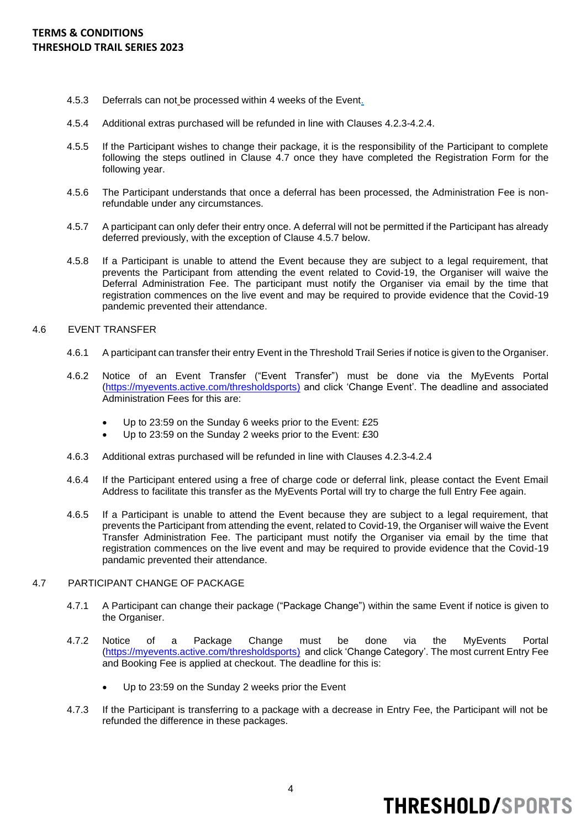- 4.5.3 Deferrals can not be processed within 4 weeks of the Event.
- 4.5.4 Additional extras purchased will be refunded in line with Clauses 4.2.3-4.2.4.
- 4.5.5 If the Participant wishes to change their package, it is the responsibility of the Participant to complete following the steps outlined in Clause 4.7 once they have completed the Registration Form for the following year.
- 4.5.6 The Participant understands that once a deferral has been processed, the Administration Fee is nonrefundable under any circumstances.
- 4.5.7 A participant can only defer their entry once. A deferral will not be permitted if the Participant has already deferred previously, with the exception of Clause 4.5.7 below.
- 4.5.8 If a Participant is unable to attend the Event because they are subject to a legal requirement, that prevents the Participant from attending the event related to Covid-19, the Organiser will waive the Deferral Administration Fee. The participant must notify the Organiser via email by the time that registration commences on the live event and may be required to provide evidence that the Covid-19 pandemic prevented their attendance.
- 4.6 EVENT TRANSFER
	- 4.6.1 A participant can transfer their entry Event in the Threshold Trail Series if notice is given to the Organiser.
	- 4.6.2 Notice of an Event Transfer ("Event Transfer") must be done via the MyEvents Portal [\(https://myevents.active.com/thresholdsports\)](https://myevents.active.com/thresholdsports) and click 'Change Event'. The deadline and associated Administration Fees for this are:
		- Up to 23:59 on the Sunday 6 weeks prior to the Event: £25
		- Up to 23:59 on the Sunday 2 weeks prior to the Event: £30
	- 4.6.3 Additional extras purchased will be refunded in line with Clauses 4.2.3-4.2.4
	- 4.6.4 If the Participant entered using a free of charge code or deferral link, please contact the Event Email Address to facilitate this transfer as the MyEvents Portal will try to charge the full Entry Fee again.
	- 4.6.5 If a Participant is unable to attend the Event because they are subject to a legal requirement, that prevents the Participant from attending the event, related to Covid-19, the Organiser will waive the Event Transfer Administration Fee. The participant must notify the Organiser via email by the time that registration commences on the live event and may be required to provide evidence that the Covid-19 pandamic prevented their attendance.

### 4.7 PARTICIPANT CHANGE OF PACKAGE

- 4.7.1 A Participant can change their package ("Package Change") within the same Event if notice is given to the Organiser.
- 4.7.2 Notice of a Package Change must be done via the MyEvents Portal [\(https://myevents.active.com/thresholdsports\)](https://myevents.active.com/thresholdsports) and click 'Change Category'. The most current Entry Fee and Booking Fee is applied at checkout. The deadline for this is:
	- Up to 23:59 on the Sunday 2 weeks prior the Event
- 4.7.3 If the Participant is transferring to a package with a decrease in Entry Fee, the Participant will not be refunded the difference in these packages.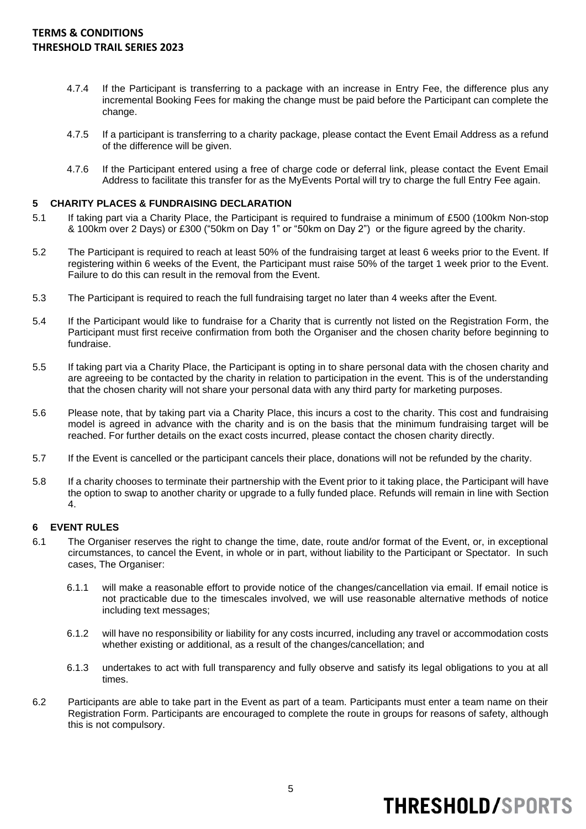- 4.7.4 If the Participant is transferring to a package with an increase in Entry Fee, the difference plus any incremental Booking Fees for making the change must be paid before the Participant can complete the change.
- 4.7.5 If a participant is transferring to a charity package, please contact the Event Email Address as a refund of the difference will be given.
- 4.7.6 If the Participant entered using a free of charge code or deferral link, please contact the Event Email Address to facilitate this transfer for as the MyEvents Portal will try to charge the full Entry Fee again.

### **5 CHARITY PLACES & FUNDRAISING DECLARATION**

- 5.1 If taking part via a Charity Place, the Participant is required to fundraise a minimum of £500 (100km Non-stop & 100km over 2 Days) or £300 ("50km on Day 1" or "50km on Day 2") or the figure agreed by the charity.
- 5.2 The Participant is required to reach at least 50% of the fundraising target at least 6 weeks prior to the Event. If registering within 6 weeks of the Event, the Participant must raise 50% of the target 1 week prior to the Event. Failure to do this can result in the removal from the Event.
- 5.3 The Participant is required to reach the full fundraising target no later than 4 weeks after the Event.
- 5.4 If the Participant would like to fundraise for a Charity that is currently not listed on the Registration Form, the Participant must first receive confirmation from both the Organiser and the chosen charity before beginning to fundraise.
- 5.5 If taking part via a Charity Place, the Participant is opting in to share personal data with the chosen charity and are agreeing to be contacted by the charity in relation to participation in the event. This is of the understanding that the chosen charity will not share your personal data with any third party for marketing purposes.
- 5.6 Please note, that by taking part via a Charity Place, this incurs a cost to the charity. This cost and fundraising model is agreed in advance with the charity and is on the basis that the minimum fundraising target will be reached. For further details on the exact costs incurred, please contact the chosen charity directly.
- 5.7 If the Event is cancelled or the participant cancels their place, donations will not be refunded by the charity.
- 5.8 If a charity chooses to terminate their partnership with the Event prior to it taking place, the Participant will have the option to swap to another charity or upgrade to a fully funded place. Refunds will remain in line with Section 4.

### **6 EVENT RULES**

- 6.1 The Organiser reserves the right to change the time, date, route and/or format of the Event, or, in exceptional circumstances, to cancel the Event, in whole or in part, without liability to the Participant or Spectator. In such cases, The Organiser:
	- 6.1.1 will make a reasonable effort to provide notice of the changes/cancellation via email. If email notice is not practicable due to the timescales involved, we will use reasonable alternative methods of notice including text messages;
	- 6.1.2 will have no responsibility or liability for any costs incurred, including any travel or accommodation costs whether existing or additional, as a result of the changes/cancellation; and
	- 6.1.3 undertakes to act with full transparency and fully observe and satisfy its legal obligations to you at all times.
- 6.2 Participants are able to take part in the Event as part of a team. Participants must enter a team name on their Registration Form. Participants are encouraged to complete the route in groups for reasons of safety, although this is not compulsory.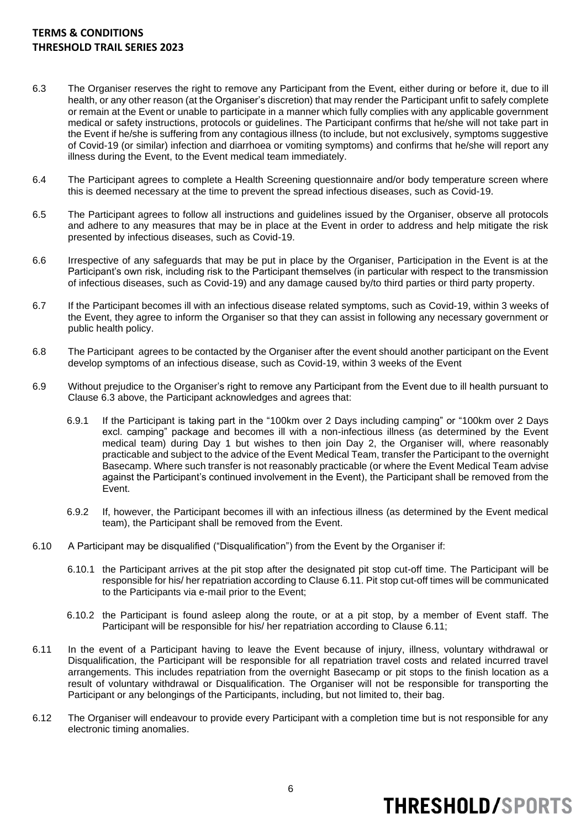- 6.3 The Organiser reserves the right to remove any Participant from the Event, either during or before it, due to ill health, or any other reason (at the Organiser's discretion) that may render the Participant unfit to safely complete or remain at the Event or unable to participate in a manner which fully complies with any applicable government medical or safety instructions, protocols or guidelines. The Participant confirms that he/she will not take part in the Event if he/she is suffering from any contagious illness (to include, but not exclusively, symptoms suggestive of Covid-19 (or similar) infection and diarrhoea or vomiting symptoms) and confirms that he/she will report any illness during the Event, to the Event medical team immediately.
- 6.4 The Participant agrees to complete a Health Screening questionnaire and/or body temperature screen where this is deemed necessary at the time to prevent the spread infectious diseases, such as Covid-19.
- 6.5 The Participant agrees to follow all instructions and guidelines issued by the Organiser, observe all protocols and adhere to any measures that may be in place at the Event in order to address and help mitigate the risk presented by infectious diseases, such as Covid-19.
- 6.6 Irrespective of any safeguards that may be put in place by the Organiser, Participation in the Event is at the Participant's own risk, including risk to the Participant themselves (in particular with respect to the transmission of infectious diseases, such as Covid-19) and any damage caused by/to third parties or third party property.
- 6.7 If the Participant becomes ill with an infectious disease related symptoms, such as Covid-19, within 3 weeks of the Event, they agree to inform the Organiser so that they can assist in following any necessary government or public health policy.
- 6.8 The Participant agrees to be contacted by the Organiser after the event should another participant on the Event develop symptoms of an infectious disease, such as Covid-19, within 3 weeks of the Event
- 6.9 Without prejudice to the Organiser's right to remove any Participant from the Event due to ill health pursuant to Clause 6.3 above, the Participant acknowledges and agrees that:
	- 6.9.1 If the Participant is taking part in the "100km over 2 Days including camping" or "100km over 2 Days excl. camping" package and becomes ill with a non-infectious illness (as determined by the Event medical team) during Day 1 but wishes to then join Day 2, the Organiser will, where reasonably practicable and subject to the advice of the Event Medical Team, transfer the Participant to the overnight Basecamp. Where such transfer is not reasonably practicable (or where the Event Medical Team advise against the Participant's continued involvement in the Event), the Participant shall be removed from the Event.
	- 6.9.2 If, however, the Participant becomes ill with an infectious illness (as determined by the Event medical team), the Participant shall be removed from the Event.
- 6.10 A Participant may be disqualified ("Disqualification") from the Event by the Organiser if:
	- 6.10.1 the Participant arrives at the pit stop after the designated pit stop cut-off time. The Participant will be responsible for his/ her repatriation according to Clause 6.11. Pit stop cut-off times will be communicated to the Participants via e-mail prior to the Event;
	- 6.10.2 the Participant is found asleep along the route, or at a pit stop, by a member of Event staff. The Participant will be responsible for his/ her repatriation according to Clause 6.11;
- 6.11 In the event of a Participant having to leave the Event because of injury, illness, voluntary withdrawal or Disqualification, the Participant will be responsible for all repatriation travel costs and related incurred travel arrangements. This includes repatriation from the overnight Basecamp or pit stops to the finish location as a result of voluntary withdrawal or Disqualification. The Organiser will not be responsible for transporting the Participant or any belongings of the Participants, including, but not limited to, their bag.
- 6.12 The Organiser will endeavour to provide every Participant with a completion time but is not responsible for any electronic timing anomalies.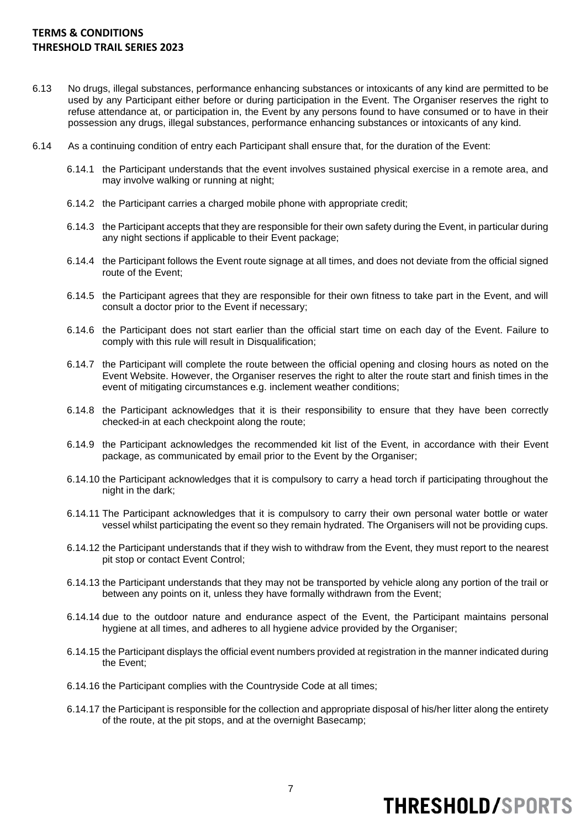- 6.13 No drugs, illegal substances, performance enhancing substances or intoxicants of any kind are permitted to be used by any Participant either before or during participation in the Event. The Organiser reserves the right to refuse attendance at, or participation in, the Event by any persons found to have consumed or to have in their possession any drugs, illegal substances, performance enhancing substances or intoxicants of any kind.
- 6.14 As a continuing condition of entry each Participant shall ensure that, for the duration of the Event:
	- 6.14.1 the Participant understands that the event involves sustained physical exercise in a remote area, and may involve walking or running at night;
	- 6.14.2 the Participant carries a charged mobile phone with appropriate credit;
	- 6.14.3 the Participant accepts that they are responsible for their own safety during the Event, in particular during any night sections if applicable to their Event package;
	- 6.14.4 the Participant follows the Event route signage at all times, and does not deviate from the official signed route of the Event;
	- 6.14.5 the Participant agrees that they are responsible for their own fitness to take part in the Event, and will consult a doctor prior to the Event if necessary;
	- 6.14.6 the Participant does not start earlier than the official start time on each day of the Event. Failure to comply with this rule will result in Disqualification;
	- 6.14.7 the Participant will complete the route between the official opening and closing hours as noted on the Event Website. However, the Organiser reserves the right to alter the route start and finish times in the event of mitigating circumstances e.g. inclement weather conditions;
	- 6.14.8 the Participant acknowledges that it is their responsibility to ensure that they have been correctly checked-in at each checkpoint along the route;
	- 6.14.9 the Participant acknowledges the recommended kit list of the Event, in accordance with their Event package, as communicated by email prior to the Event by the Organiser;
	- 6.14.10 the Participant acknowledges that it is compulsory to carry a head torch if participating throughout the night in the dark;
	- 6.14.11 The Participant acknowledges that it is compulsory to carry their own personal water bottle or water vessel whilst participating the event so they remain hydrated. The Organisers will not be providing cups.
	- 6.14.12 the Participant understands that if they wish to withdraw from the Event, they must report to the nearest pit stop or contact Event Control;
	- 6.14.13 the Participant understands that they may not be transported by vehicle along any portion of the trail or between any points on it, unless they have formally withdrawn from the Event;
	- 6.14.14 due to the outdoor nature and endurance aspect of the Event, the Participant maintains personal hygiene at all times, and adheres to all hygiene advice provided by the Organiser;
	- 6.14.15 the Participant displays the official event numbers provided at registration in the manner indicated during the Event;
	- 6.14.16 the Participant complies with the [Countryside Code](https://www.gov.uk/government/uploads/system/uploads/attachment_data/file/338299/countryside-code.pdf) at all times;
	- 6.14.17 the Participant is responsible for the collection and appropriate disposal of his/her litter along the entirety of the route, at the pit stops, and at the overnight Basecamp;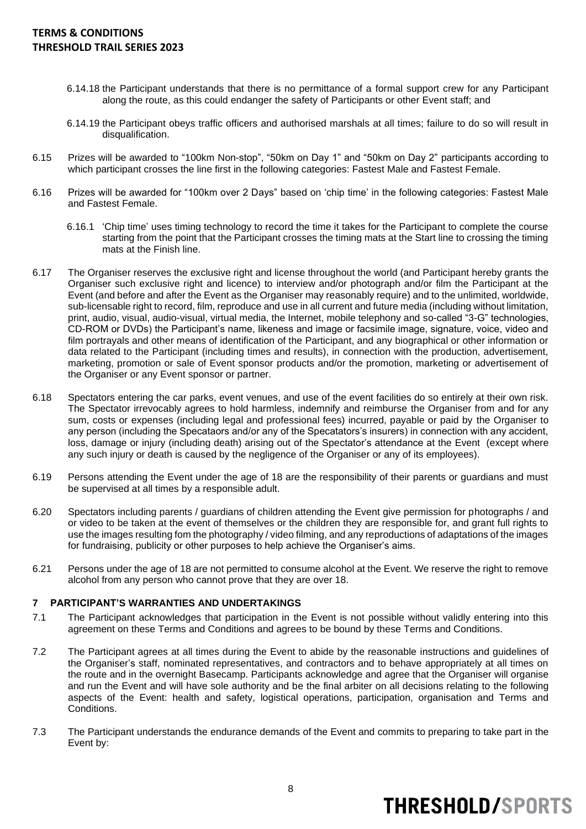- 6.14.18 the Participant understands that there is no permittance of a formal support crew for any Participant along the route, as this could endanger the safety of Participants or other Event staff; and
- 6.14.19 the Participant obeys traffic officers and authorised marshals at all times; failure to do so will result in disqualification.
- 6.15 Prizes will be awarded to "100km Non-stop", "50km on Day 1" and "50km on Day 2" participants according to which participant crosses the line first in the following categories: Fastest Male and Fastest Female.
- 6.16 Prizes will be awarded for "100km over 2 Days" based on 'chip time' in the following categories: Fastest Male and Fastest Female.
	- 6.16.1 'Chip time' uses timing technology to record the time it takes for the Participant to complete the course starting from the point that the Participant crosses the timing mats at the Start line to crossing the timing mats at the Finish line.
- 6.17 The Organiser reserves the exclusive right and license throughout the world (and Participant hereby grants the Organiser such exclusive right and licence) to interview and/or photograph and/or film the Participant at the Event (and before and after the Event as the Organiser may reasonably require) and to the unlimited, worldwide, sub-licensable right to record, film, reproduce and use in all current and future media (including without limitation, print, audio, visual, audio-visual, virtual media, the Internet, mobile telephony and so-called "3-G" technologies, CD-ROM or DVDs) the Participant's name, likeness and image or facsimile image, signature, voice, video and film portrayals and other means of identification of the Participant, and any biographical or other information or data related to the Participant (including times and results), in connection with the production, advertisement, marketing, promotion or sale of Event sponsor products and/or the promotion, marketing or advertisement of the Organiser or any Event sponsor or partner.
- 6.18 Spectators entering the car parks, event venues, and use of the event facilities do so entirely at their own risk. The Spectator irrevocably agrees to hold harmless, indemnify and reimburse the Organiser from and for any sum, costs or expenses (including legal and professional fees) incurred, payable or paid by the Organiser to any person (including the Specataors and/or any of the Specatators's insurers) in connection with any accident, loss, damage or injury (including death) arising out of the Spectator's attendance at the Event (except where any such injury or death is caused by the negligence of the Organiser or any of its employees).
- 6.19 Persons attending the Event under the age of 18 are the responsibility of their parents or guardians and must be supervised at all times by a responsible adult.
- 6.20 Spectators including parents / guardians of children attending the Event give permission for photographs / and or video to be taken at the event of themselves or the children they are responsible for, and grant full rights to use the images resulting fom the photography / video filming, and any reproductions of adaptations of the images for fundraising, publicity or other purposes to help achieve the Organiser's aims.
- 6.21 Persons under the age of 18 are not permitted to consume alcohol at the Event. We reserve the right to remove alcohol from any person who cannot prove that they are over 18.

#### **7 PARTICIPANT'S WARRANTIES AND UNDERTAKINGS**

- 7.1 The Participant acknowledges that participation in the Event is not possible without validly entering into this agreement on these Terms and Conditions and agrees to be bound by these Terms and Conditions.
- 7.2 The Participant agrees at all times during the Event to abide by the reasonable instructions and guidelines of the Organiser's staff, nominated representatives, and contractors and to behave appropriately at all times on the route and in the overnight Basecamp. Participants acknowledge and agree that the Organiser will organise and run the Event and will have sole authority and be the final arbiter on all decisions relating to the following aspects of the Event: health and safety, logistical operations, participation, organisation and Terms and Conditions.
- 7.3 The Participant understands the endurance demands of the Event and commits to preparing to take part in the Event by: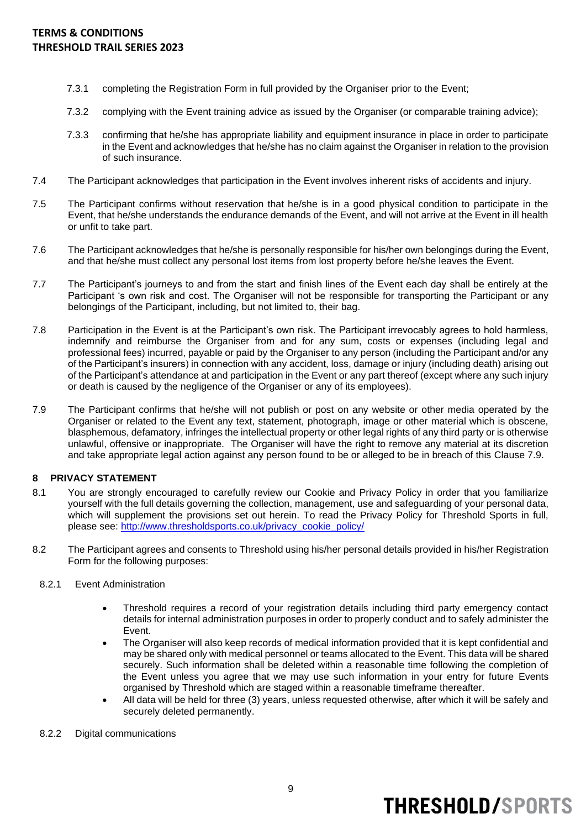- 7.3.1 completing the Registration Form in full provided by the Organiser prior to the Event;
- 7.3.2 complying with the Event training advice as issued by the Organiser (or comparable training advice);
- 7.3.3 confirming that he/she has appropriate liability and equipment insurance in place in order to participate in the Event and acknowledges that he/she has no claim against the Organiser in relation to the provision of such insurance.
- 7.4 The Participant acknowledges that participation in the Event involves inherent risks of accidents and injury.
- 7.5 The Participant confirms without reservation that he/she is in a good physical condition to participate in the Event, that he/she understands the endurance demands of the Event, and will not arrive at the Event in ill health or unfit to take part.
- 7.6 The Participant acknowledges that he/she is personally responsible for his/her own belongings during the Event, and that he/she must collect any personal lost items from lost property before he/she leaves the Event.
- 7.7 The Participant's journeys to and from the start and finish lines of the Event each day shall be entirely at the Participant 's own risk and cost. The Organiser will not be responsible for transporting the Participant or any belongings of the Participant, including, but not limited to, their bag.
- 7.8 Participation in the Event is at the Participant's own risk. The Participant irrevocably agrees to hold harmless, indemnify and reimburse the Organiser from and for any sum, costs or expenses (including legal and professional fees) incurred, payable or paid by the Organiser to any person (including the Participant and/or any of the Participant's insurers) in connection with any accident, loss, damage or injury (including death) arising out of the Participant's attendance at and participation in the Event or any part thereof (except where any such injury or death is caused by the negligence of the Organiser or any of its employees).
- 7.9 The Participant confirms that he/she will not publish or post on any website or other media operated by the Organiser or related to the Event any text, statement, photograph, image or other material which is obscene, blasphemous, defamatory, infringes the intellectual property or other legal rights of any third party or is otherwise unlawful, offensive or inappropriate. The Organiser will have the right to remove any material at its discretion and take appropriate legal action against any person found to be or alleged to be in breach of this Clause 7.9.

### **8 PRIVACY STATEMENT**

- 8.1 You are strongly encouraged to carefully review our Cookie and Privacy Policy in order that you familiarize yourself with the full details governing the collection, management, use and safeguarding of your personal data, which will supplement the provisions set out herein. To read the Privacy Policy for Threshold Sports in full, please see: [http://www.thresholdsports.co.uk/privacy\\_cookie\\_policy/](http://www.thresholdsports.co.uk/privacy_cookie_policy/)
- 8.2 The Participant agrees and consents to Threshold using his/her personal details provided in his/her Registration Form for the following purposes:
	- 8.2.1 Event Administration
		- Threshold requires a record of your registration details including third party emergency contact details for internal administration purposes in order to properly conduct and to safely administer the Event.
		- The Organiser will also keep records of medical information provided that it is kept confidential and may be shared only with medical personnel or teams allocated to the Event. This data will be shared securely. Such information shall be deleted within a reasonable time following the completion of the Event unless you agree that we may use such information in your entry for future Events organised by Threshold which are staged within a reasonable timeframe thereafter.
		- All data will be held for three (3) years, unless requested otherwise, after which it will be safely and securely deleted permanently.
	- 8.2.2 Digital communications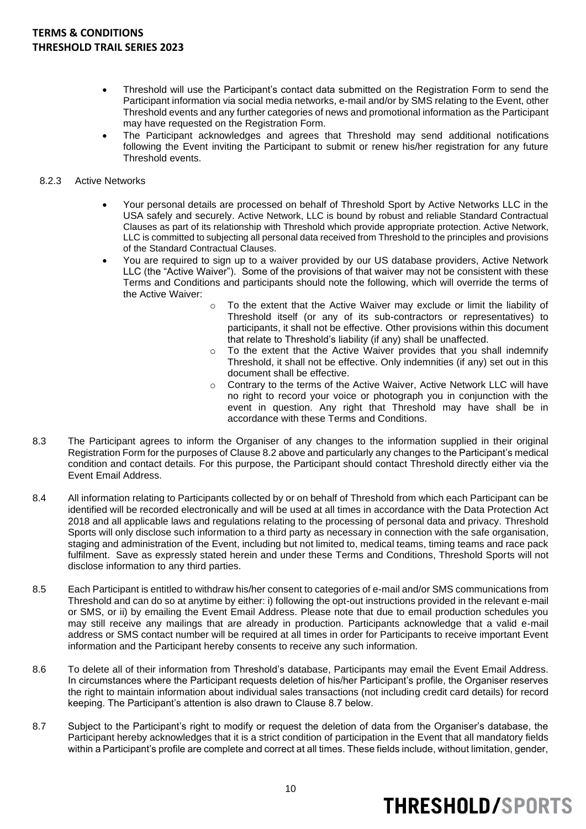- Threshold will use the Participant's contact data submitted on the Registration Form to send the Participant information via social media networks, e-mail and/or by SMS relating to the Event, other Threshold events and any further categories of news and promotional information as the Participant may have requested on the Registration Form.
- The Participant acknowledges and agrees that Threshold may send additional notifications following the Event inviting the Participant to submit or renew his/her registration for any future Threshold events.

### 8.2.3 Active Networks

- Your personal details are processed on behalf of Threshold Sport by Active Networks LLC in the USA safely and securely. Active Network, LLC is bound by robust and reliable Standard Contractual Clauses as part of its relationship with Threshold which provide appropriate protection. Active Network, LLC is committed to subjecting all personal data received from Threshold to the principles and provisions of the Standard Contractual Clauses.
- You are required to sign up to a waiver provided by our US database providers, Active Network LLC (the "Active Waiver"). Some of the provisions of that waiver may not be consistent with these Terms and Conditions and participants should note the following, which will override the terms of the Active Waiver:
	- o To the extent that the Active Waiver may exclude or limit the liability of Threshold itself (or any of its sub-contractors or representatives) to participants, it shall not be effective. Other provisions within this document that relate to Threshold's liability (if any) shall be unaffected.
	- o To the extent that the Active Waiver provides that you shall indemnify Threshold, it shall not be effective. Only indemnities (if any) set out in this document shall be effective.
	- o Contrary to the terms of the Active Waiver, Active Network LLC will have no right to record your voice or photograph you in conjunction with the event in question. Any right that Threshold may have shall be in accordance with these Terms and Conditions.
- 8.3 The Participant agrees to inform the Organiser of any changes to the information supplied in their original Registration Form for the purposes of Clause 8.2 above and particularly any changes to the Participant's medical condition and contact details. For this purpose, the Participant should contact Threshold directly either via the Event Email Address.
- 8.4 All information relating to Participants collected by or on behalf of Threshold from which each Participant can be identified will be recorded electronically and will be used at all times in accordance with the Data Protection Act 2018 and all applicable laws and regulations relating to the processing of personal data and privacy. Threshold Sports will only disclose such information to a third party as necessary in connection with the safe organisation, staging and administration of the Event, including but not limited to, medical teams, timing teams and race pack fulfilment. Save as expressly stated herein and under these Terms and Conditions, Threshold Sports will not disclose information to any third parties.
- 8.5 Each Participant is entitled to withdraw his/her consent to categories of e-mail and/or SMS communications from Threshold and can do so at anytime by either: i) following the opt-out instructions provided in the relevant e-mail or SMS, or ii) by emailing the Event Email Address. Please note that due to email production schedules you may still receive any mailings that are already in production. Participants acknowledge that a valid e-mail address or SMS contact number will be required at all times in order for Participants to receive important Event information and the Participant hereby consents to receive any such information.
- 8.6 To delete all of their information from Threshold's database, Participants may email the Event Email Address. In circumstances where the Participant requests deletion of his/her Participant's profile, the Organiser reserves the right to maintain information about individual sales transactions (not including credit card details) for record keeping. The Participant's attention is also drawn to Clause 8.7 below.
- 8.7 Subject to the Participant's right to modify or request the deletion of data from the Organiser's database, the Participant hereby acknowledges that it is a strict condition of participation in the Event that all mandatory fields within a Participant's profile are complete and correct at all times. These fields include, without limitation, gender,